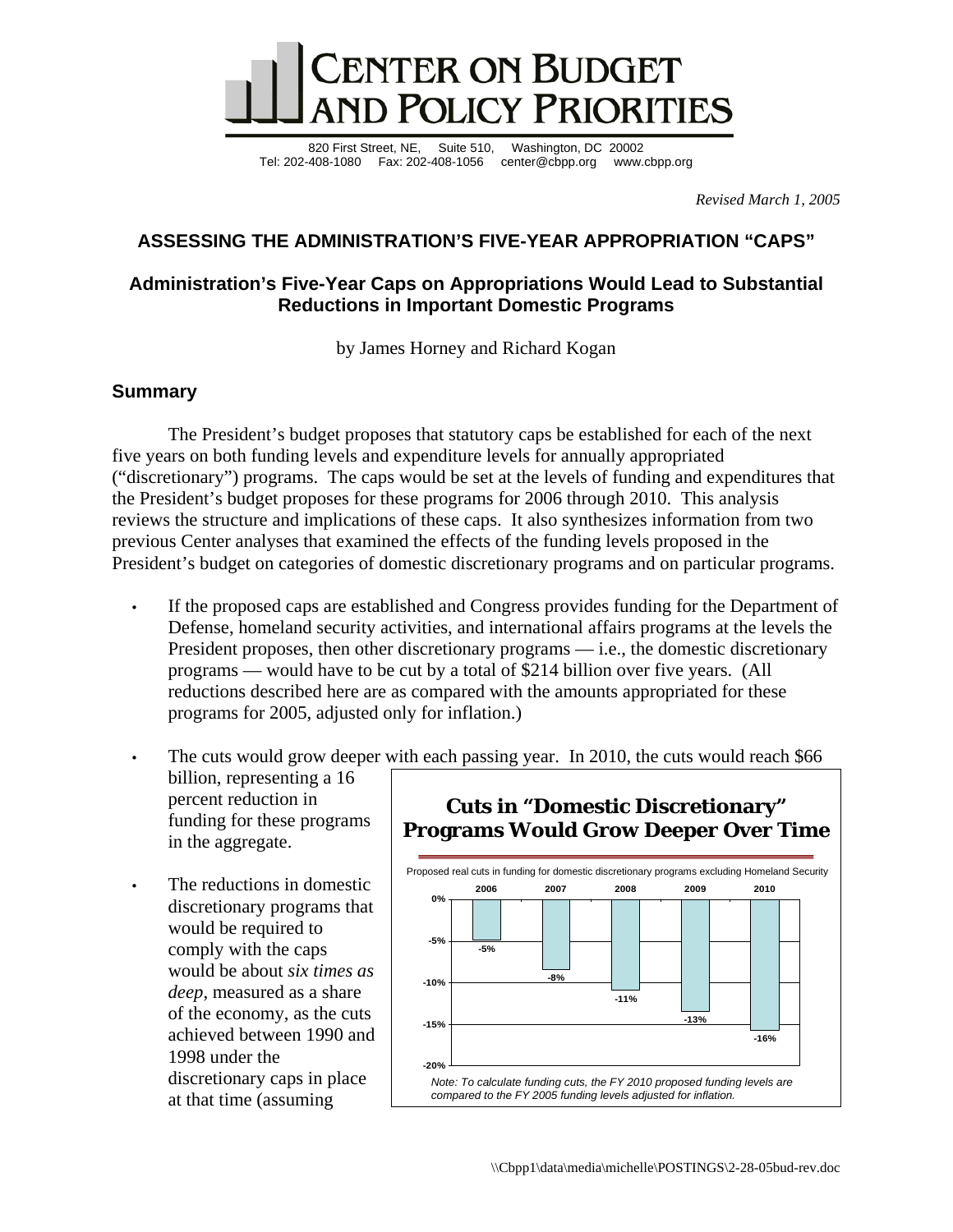

820 First Street, NE, Suite 510, Washington, DC 20002 Tel: 202-408-1080 Fax: 202-408-1056 center@cbpp.org www.cbpp.org

*Revised March 1, 2005* 

# **ASSESSING THE ADMINISTRATION'S FIVE-YEAR APPROPRIATION "CAPS"**

## **Administration's Five-Year Caps on Appropriations Would Lead to Substantial Reductions in Important Domestic Programs**

by James Horney and Richard Kogan

## **Summary**

The President's budget proposes that statutory caps be established for each of the next five years on both funding levels and expenditure levels for annually appropriated ("discretionary") programs. The caps would be set at the levels of funding and expenditures that the President's budget proposes for these programs for 2006 through 2010. This analysis reviews the structure and implications of these caps. It also synthesizes information from two previous Center analyses that examined the effects of the funding levels proposed in the President's budget on categories of domestic discretionary programs and on particular programs.

- If the proposed caps are established and Congress provides funding for the Department of Defense, homeland security activities, and international affairs programs at the levels the President proposes, then other discretionary programs — i.e., the domestic discretionary programs — would have to be cut by a total of \$214 billion over five years. (All reductions described here are as compared with the amounts appropriated for these programs for 2005, adjusted only for inflation.)
- The cuts would grow deeper with each passing year. In 2010, the cuts would reach \$66 billion, representing a 16

percent reduction in funding for these programs in the aggregate.

The reductions in domestic discretionary programs that would be required to comply with the caps would be about *six times as deep*, measured as a share of the economy, as the cuts achieved between 1990 and 1998 under the discretionary caps in place at that time (assuming



# **Cuts in "Domestic Discretionary"**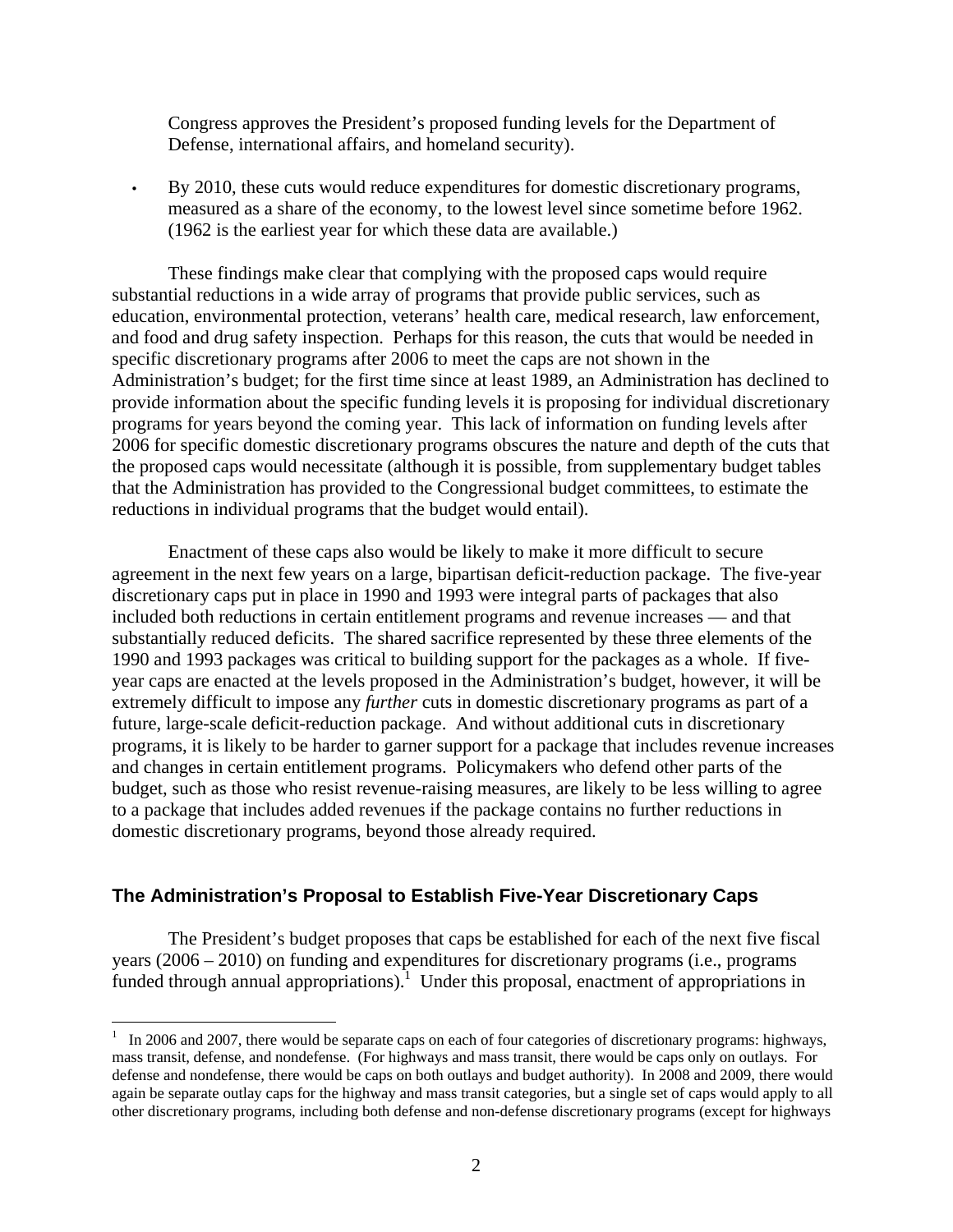Congress approves the President's proposed funding levels for the Department of Defense, international affairs, and homeland security).

• By 2010, these cuts would reduce expenditures for domestic discretionary programs, measured as a share of the economy, to the lowest level since sometime before 1962. (1962 is the earliest year for which these data are available.)

 These findings make clear that complying with the proposed caps would require substantial reductions in a wide array of programs that provide public services, such as education, environmental protection, veterans' health care, medical research, law enforcement, and food and drug safety inspection. Perhaps for this reason, the cuts that would be needed in specific discretionary programs after 2006 to meet the caps are not shown in the Administration's budget; for the first time since at least 1989, an Administration has declined to provide information about the specific funding levels it is proposing for individual discretionary programs for years beyond the coming year. This lack of information on funding levels after 2006 for specific domestic discretionary programs obscures the nature and depth of the cuts that the proposed caps would necessitate (although it is possible, from supplementary budget tables that the Administration has provided to the Congressional budget committees, to estimate the reductions in individual programs that the budget would entail).

Enactment of these caps also would be likely to make it more difficult to secure agreement in the next few years on a large, bipartisan deficit-reduction package. The five-year discretionary caps put in place in 1990 and 1993 were integral parts of packages that also included both reductions in certain entitlement programs and revenue increases — and that substantially reduced deficits. The shared sacrifice represented by these three elements of the 1990 and 1993 packages was critical to building support for the packages as a whole. If fiveyear caps are enacted at the levels proposed in the Administration's budget, however, it will be extremely difficult to impose any *further* cuts in domestic discretionary programs as part of a future, large-scale deficit-reduction package. And without additional cuts in discretionary programs, it is likely to be harder to garner support for a package that includes revenue increases and changes in certain entitlement programs. Policymakers who defend other parts of the budget, such as those who resist revenue-raising measures, are likely to be less willing to agree to a package that includes added revenues if the package contains no further reductions in domestic discretionary programs, beyond those already required.

# **The Administration's Proposal to Establish Five-Year Discretionary Caps**

 $\overline{a}$ 

 The President's budget proposes that caps be established for each of the next five fiscal years (2006 – 2010) on funding and expenditures for discretionary programs (i.e., programs funded through annual appropriations).<sup>1</sup> Under this proposal, enactment of appropriations in

 $1$  In 2006 and 2007, there would be separate caps on each of four categories of discretionary programs: highways, mass transit, defense, and nondefense. (For highways and mass transit, there would be caps only on outlays. For defense and nondefense, there would be caps on both outlays and budget authority). In 2008 and 2009, there would again be separate outlay caps for the highway and mass transit categories, but a single set of caps would apply to all other discretionary programs, including both defense and non-defense discretionary programs (except for highways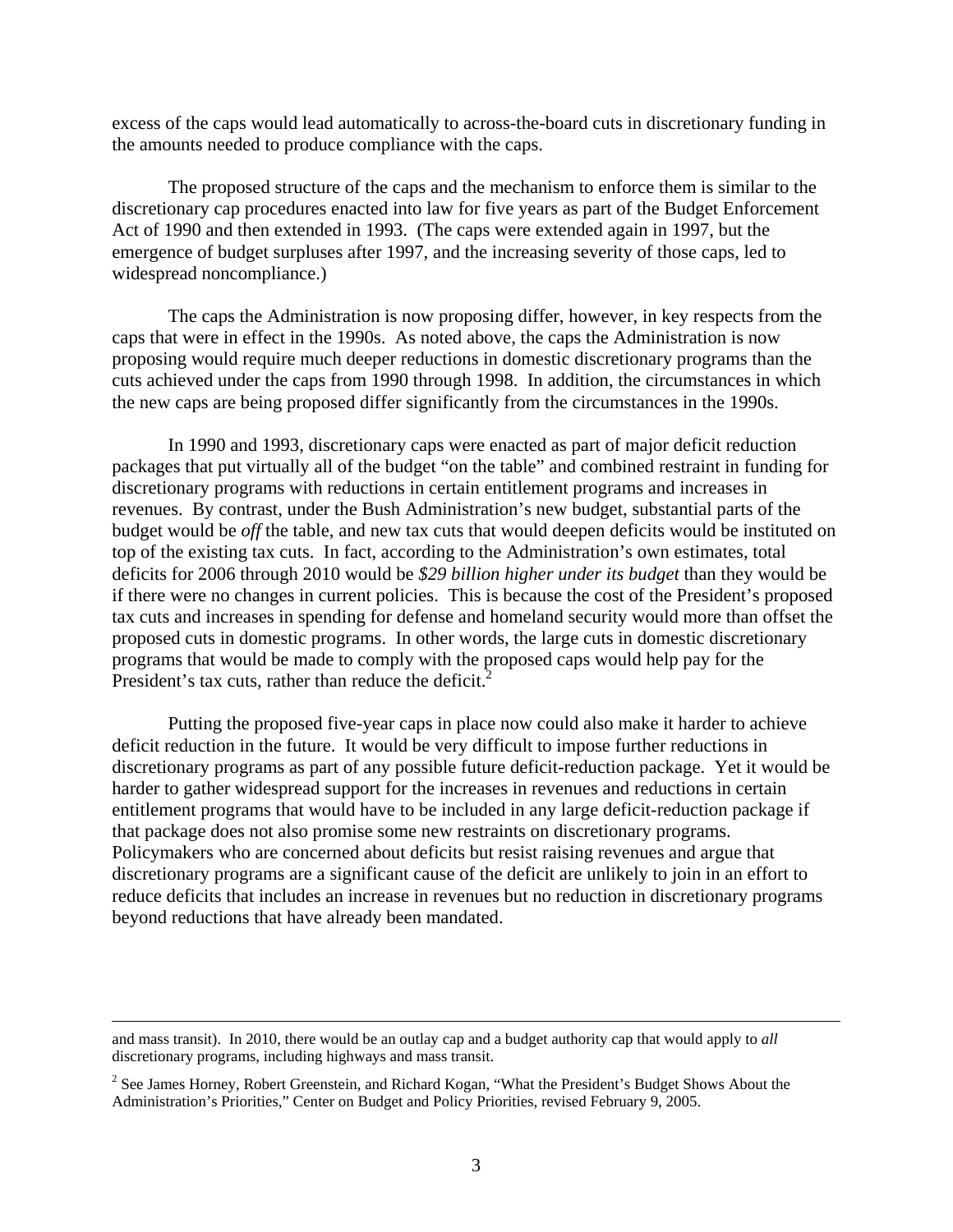excess of the caps would lead automatically to across-the-board cuts in discretionary funding in the amounts needed to produce compliance with the caps.

 The proposed structure of the caps and the mechanism to enforce them is similar to the discretionary cap procedures enacted into law for five years as part of the Budget Enforcement Act of 1990 and then extended in 1993. (The caps were extended again in 1997, but the emergence of budget surpluses after 1997, and the increasing severity of those caps, led to widespread noncompliance.)

 The caps the Administration is now proposing differ, however, in key respects from the caps that were in effect in the 1990s. As noted above, the caps the Administration is now proposing would require much deeper reductions in domestic discretionary programs than the cuts achieved under the caps from 1990 through 1998. In addition, the circumstances in which the new caps are being proposed differ significantly from the circumstances in the 1990s.

 In 1990 and 1993, discretionary caps were enacted as part of major deficit reduction packages that put virtually all of the budget "on the table" and combined restraint in funding for discretionary programs with reductions in certain entitlement programs and increases in revenues. By contrast, under the Bush Administration's new budget, substantial parts of the budget would be *off* the table, and new tax cuts that would deepen deficits would be instituted on top of the existing tax cuts. In fact, according to the Administration's own estimates, total deficits for 2006 through 2010 would be *\$29 billion higher under its budget* than they would be if there were no changes in current policies. This is because the cost of the President's proposed tax cuts and increases in spending for defense and homeland security would more than offset the proposed cuts in domestic programs. In other words, the large cuts in domestic discretionary programs that would be made to comply with the proposed caps would help pay for the President's tax cuts, rather than reduce the deficit.<sup>2</sup>

 Putting the proposed five-year caps in place now could also make it harder to achieve deficit reduction in the future. It would be very difficult to impose further reductions in discretionary programs as part of any possible future deficit-reduction package. Yet it would be harder to gather widespread support for the increases in revenues and reductions in certain entitlement programs that would have to be included in any large deficit-reduction package if that package does not also promise some new restraints on discretionary programs. Policymakers who are concerned about deficits but resist raising revenues and argue that discretionary programs are a significant cause of the deficit are unlikely to join in an effort to reduce deficits that includes an increase in revenues but no reduction in discretionary programs beyond reductions that have already been mandated.

and mass transit). In 2010, there would be an outlay cap and a budget authority cap that would apply to *all*  discretionary programs, including highways and mass transit.

 $2^2$  See James Horney, Robert Greenstein, and Richard Kogan, "What the President's Budget Shows About the Administration's Priorities," Center on Budget and Policy Priorities, revised February 9, 2005.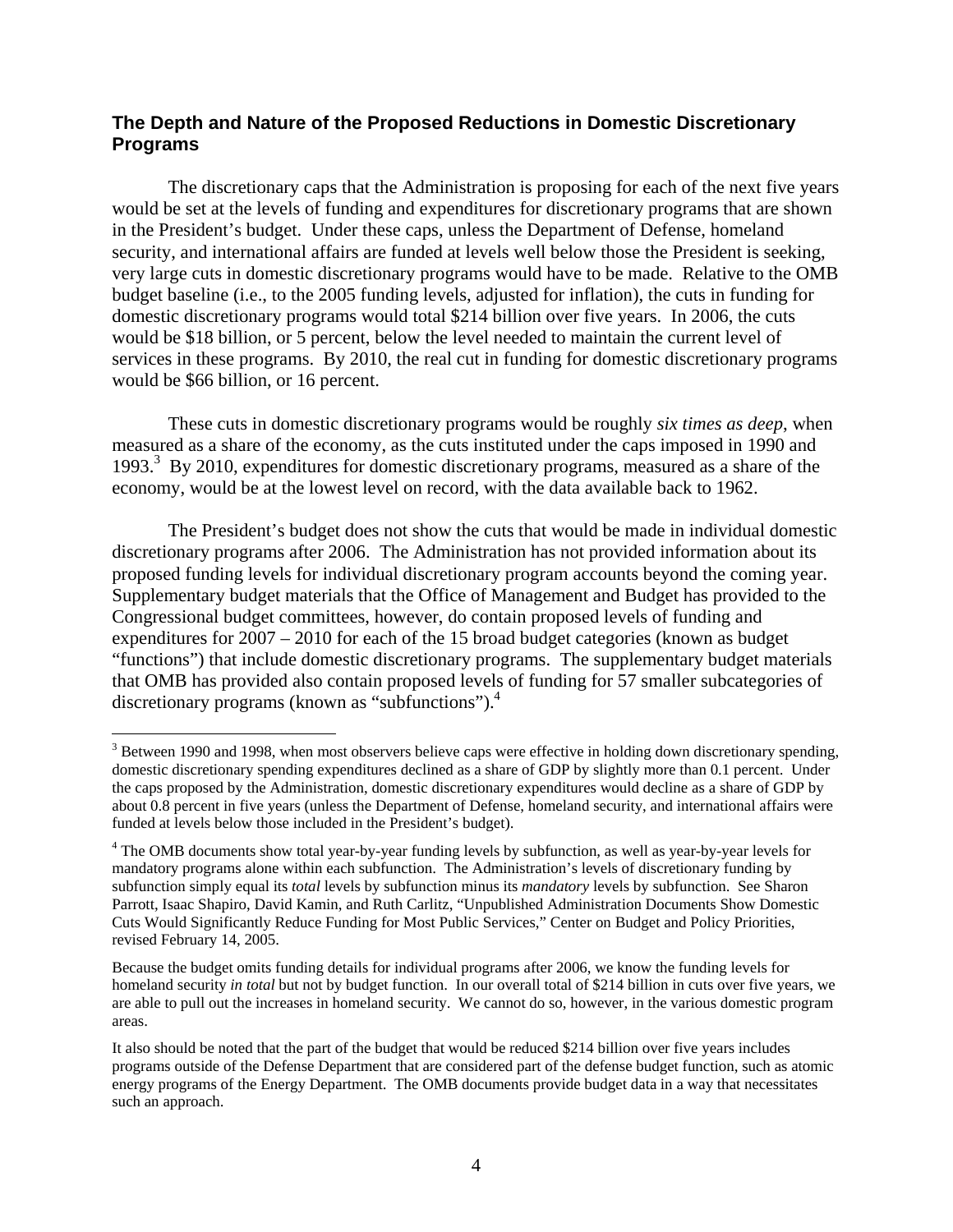#### **The Depth and Nature of the Proposed Reductions in Domestic Discretionary Programs**

 The discretionary caps that the Administration is proposing for each of the next five years would be set at the levels of funding and expenditures for discretionary programs that are shown in the President's budget. Under these caps, unless the Department of Defense, homeland security, and international affairs are funded at levels well below those the President is seeking, very large cuts in domestic discretionary programs would have to be made. Relative to the OMB budget baseline (i.e., to the 2005 funding levels, adjusted for inflation), the cuts in funding for domestic discretionary programs would total \$214 billion over five years. In 2006, the cuts would be \$18 billion, or 5 percent, below the level needed to maintain the current level of services in these programs. By 2010, the real cut in funding for domestic discretionary programs would be \$66 billion, or 16 percent.

These cuts in domestic discretionary programs would be roughly *six times as deep*, when measured as a share of the economy, as the cuts instituted under the caps imposed in 1990 and 1993.<sup>3</sup> By 2010, expenditures for domestic discretionary programs, measured as a share of the economy, would be at the lowest level on record, with the data available back to 1962.

 The President's budget does not show the cuts that would be made in individual domestic discretionary programs after 2006. The Administration has not provided information about its proposed funding levels for individual discretionary program accounts beyond the coming year. Supplementary budget materials that the Office of Management and Budget has provided to the Congressional budget committees, however, do contain proposed levels of funding and expenditures for 2007 – 2010 for each of the 15 broad budget categories (known as budget "functions") that include domestic discretionary programs. The supplementary budget materials that OMB has provided also contain proposed levels of funding for 57 smaller subcategories of discretionary programs (known as "subfunctions").<sup>4</sup>

 $\overline{a}$ 

 $3$  Between 1990 and 1998, when most observers believe caps were effective in holding down discretionary spending, domestic discretionary spending expenditures declined as a share of GDP by slightly more than 0.1 percent. Under the caps proposed by the Administration, domestic discretionary expenditures would decline as a share of GDP by about 0.8 percent in five years (unless the Department of Defense, homeland security, and international affairs were funded at levels below those included in the President's budget).

<sup>&</sup>lt;sup>4</sup> The OMB documents show total year-by-year funding levels by subfunction, as well as year-by-year levels for mandatory programs alone within each subfunction. The Administration's levels of discretionary funding by subfunction simply equal its *total* levels by subfunction minus its *mandatory* levels by subfunction. See Sharon Parrott, Isaac Shapiro, David Kamin, and Ruth Carlitz, "Unpublished Administration Documents Show Domestic Cuts Would Significantly Reduce Funding for Most Public Services," Center on Budget and Policy Priorities, revised February 14, 2005.

Because the budget omits funding details for individual programs after 2006, we know the funding levels for homeland security *in total* but not by budget function. In our overall total of \$214 billion in cuts over five years, we are able to pull out the increases in homeland security. We cannot do so, however, in the various domestic program areas.

It also should be noted that the part of the budget that would be reduced \$214 billion over five years includes programs outside of the Defense Department that are considered part of the defense budget function, such as atomic energy programs of the Energy Department. The OMB documents provide budget data in a way that necessitates such an approach.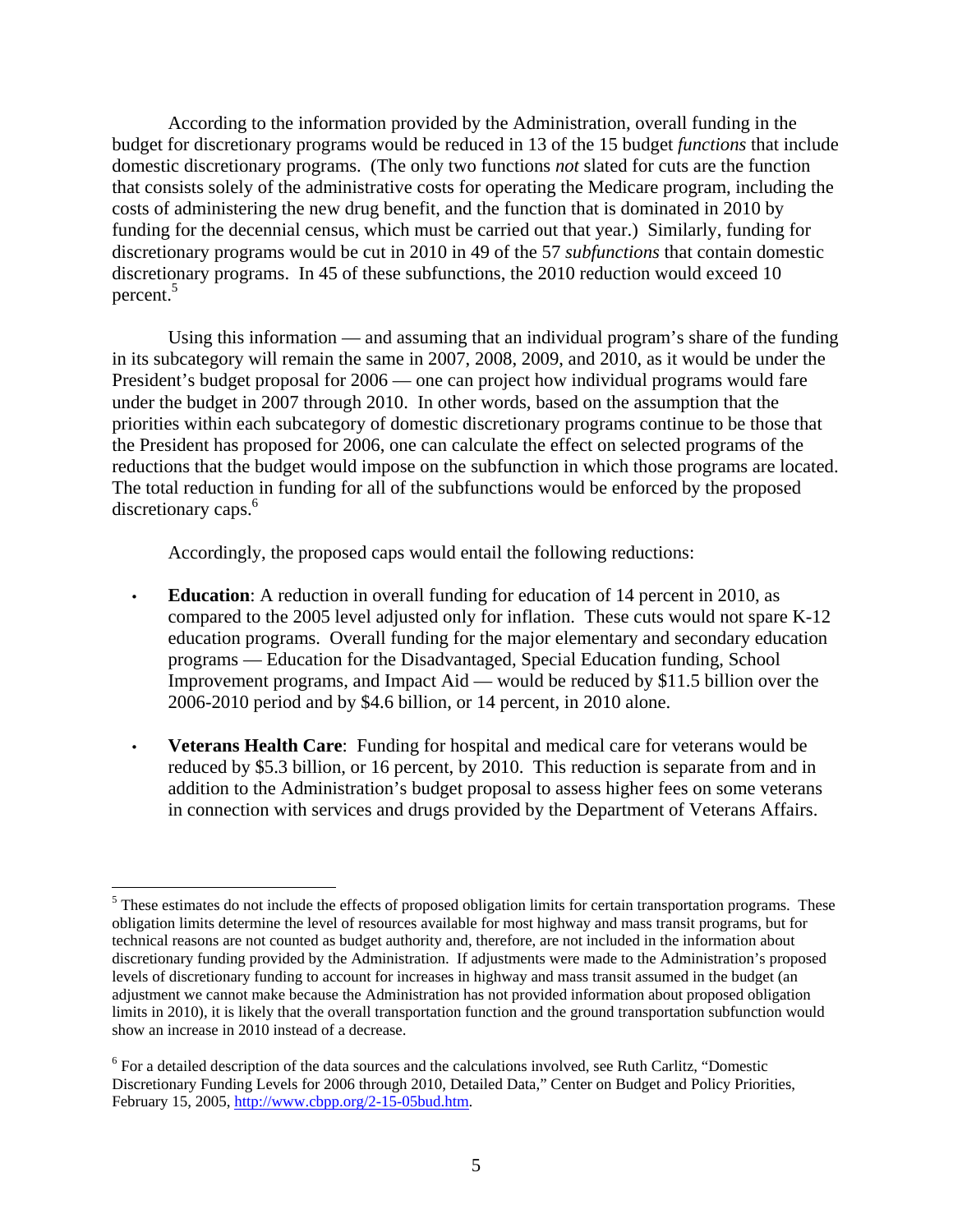According to the information provided by the Administration, overall funding in the budget for discretionary programs would be reduced in 13 of the 15 budget *functions* that include domestic discretionary programs. (The only two functions *not* slated for cuts are the function that consists solely of the administrative costs for operating the Medicare program, including the costs of administering the new drug benefit, and the function that is dominated in 2010 by funding for the decennial census, which must be carried out that year.) Similarly, funding for discretionary programs would be cut in 2010 in 49 of the 57 *subfunctions* that contain domestic discretionary programs. In 45 of these subfunctions, the 2010 reduction would exceed 10 percent.<sup>5</sup>

 Using this information — and assuming that an individual program's share of the funding in its subcategory will remain the same in 2007, 2008, 2009, and 2010, as it would be under the President's budget proposal for 2006 — one can project how individual programs would fare under the budget in 2007 through 2010. In other words, based on the assumption that the priorities within each subcategory of domestic discretionary programs continue to be those that the President has proposed for 2006, one can calculate the effect on selected programs of the reductions that the budget would impose on the subfunction in which those programs are located. The total reduction in funding for all of the subfunctions would be enforced by the proposed discretionary caps.<sup>6</sup>

Accordingly, the proposed caps would entail the following reductions:

- **Education**: A reduction in overall funding for education of 14 percent in 2010, as compared to the 2005 level adjusted only for inflation. These cuts would not spare K-12 education programs. Overall funding for the major elementary and secondary education programs — Education for the Disadvantaged, Special Education funding, School Improvement programs, and Impact Aid — would be reduced by \$11.5 billion over the 2006-2010 period and by \$4.6 billion, or 14 percent, in 2010 alone.
- **Veterans Health Care**: Funding for hospital and medical care for veterans would be reduced by \$5.3 billion, or 16 percent, by 2010. This reduction is separate from and in addition to the Administration's budget proposal to assess higher fees on some veterans in connection with services and drugs provided by the Department of Veterans Affairs.

 $\overline{a}$  $<sup>5</sup>$  These estimates do not include the effects of proposed obligation limits for certain transportation programs. These</sup> obligation limits determine the level of resources available for most highway and mass transit programs, but for technical reasons are not counted as budget authority and, therefore, are not included in the information about discretionary funding provided by the Administration. If adjustments were made to the Administration's proposed levels of discretionary funding to account for increases in highway and mass transit assumed in the budget (an adjustment we cannot make because the Administration has not provided information about proposed obligation limits in 2010), it is likely that the overall transportation function and the ground transportation subfunction would show an increase in 2010 instead of a decrease.

<sup>&</sup>lt;sup>6</sup> For a detailed description of the data sources and the calculations involved, see Ruth Carlitz, "Domestic Discretionary Funding Levels for 2006 through 2010, Detailed Data," Center on Budget and Policy Priorities, February 15, 2005, http://www.cbpp.org/2-15-05bud.htm.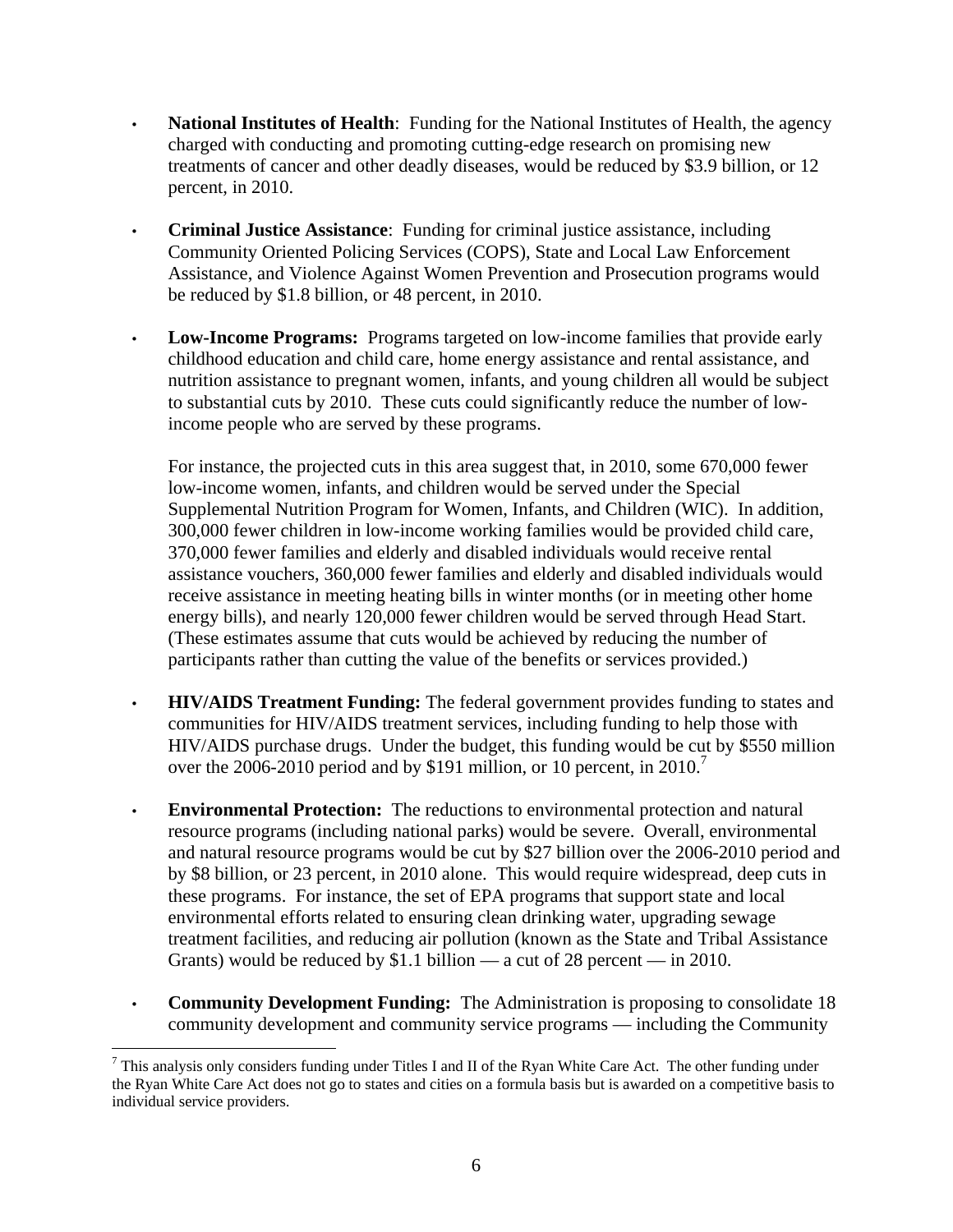- **National Institutes of Health**: Funding for the National Institutes of Health, the agency charged with conducting and promoting cutting-edge research on promising new treatments of cancer and other deadly diseases, would be reduced by \$3.9 billion, or 12 percent, in 2010.
- **Criminal Justice Assistance**: Funding for criminal justice assistance, including Community Oriented Policing Services (COPS), State and Local Law Enforcement Assistance, and Violence Against Women Prevention and Prosecution programs would be reduced by \$1.8 billion, or 48 percent, in 2010.
- **Low-Income Programs:** Programs targeted on low-income families that provide early childhood education and child care, home energy assistance and rental assistance, and nutrition assistance to pregnant women, infants, and young children all would be subject to substantial cuts by 2010. These cuts could significantly reduce the number of lowincome people who are served by these programs.

For instance, the projected cuts in this area suggest that, in 2010, some 670,000 fewer low-income women, infants, and children would be served under the Special Supplemental Nutrition Program for Women, Infants, and Children (WIC). In addition, 300,000 fewer children in low-income working families would be provided child care, 370,000 fewer families and elderly and disabled individuals would receive rental assistance vouchers, 360,000 fewer families and elderly and disabled individuals would receive assistance in meeting heating bills in winter months (or in meeting other home energy bills), and nearly 120,000 fewer children would be served through Head Start. (These estimates assume that cuts would be achieved by reducing the number of participants rather than cutting the value of the benefits or services provided.)

- **HIV/AIDS Treatment Funding:** The federal government provides funding to states and communities for HIV/AIDS treatment services, including funding to help those with HIV/AIDS purchase drugs. Under the budget, this funding would be cut by \$550 million over the 2006-2010 period and by \$191 million, or 10 percent, in  $2010$ .<sup>7</sup>
- **Environmental Protection:** The reductions to environmental protection and natural resource programs (including national parks) would be severe. Overall, environmental and natural resource programs would be cut by \$27 billion over the 2006-2010 period and by \$8 billion, or 23 percent, in 2010 alone. This would require widespread, deep cuts in these programs. For instance, the set of EPA programs that support state and local environmental efforts related to ensuring clean drinking water, upgrading sewage treatment facilities, and reducing air pollution (known as the State and Tribal Assistance Grants) would be reduced by \$1.1 billion — a cut of 28 percent — in 2010.
- **Community Development Funding:** The Administration is proposing to consolidate 18 community development and community service programs — including the Community

 $\overline{a}$  $^7$  This analysis only considers funding under Titles I and II of the Ryan White Care Act. The other funding under the Ryan White Care Act does not go to states and cities on a formula basis but is awarded on a competitive basis to individual service providers.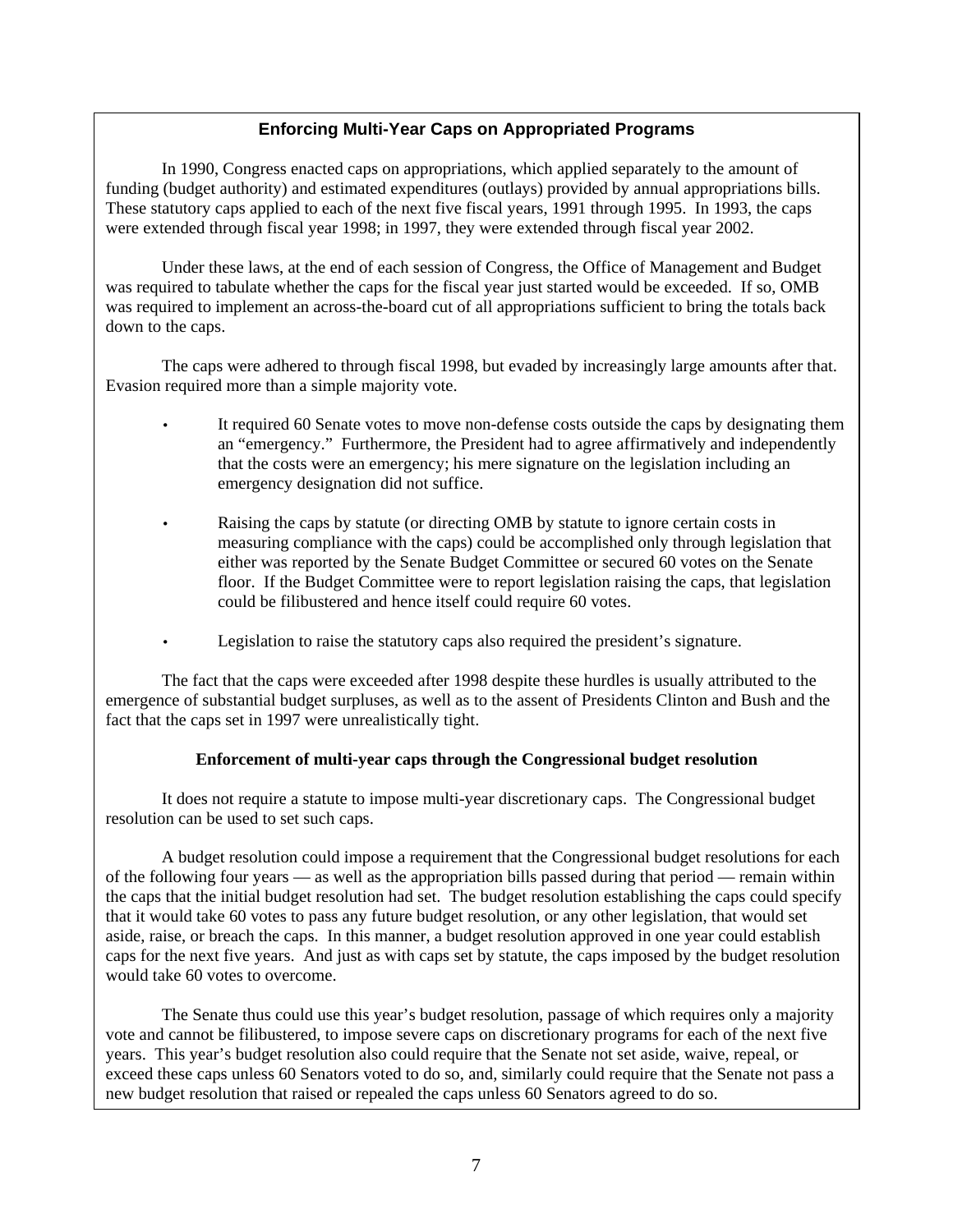#### **Enforcing Multi-Year Caps on Appropriated Programs**

In 1990, Congress enacted caps on appropriations, which applied separately to the amount of funding (budget authority) and estimated expenditures (outlays) provided by annual appropriations bills. These statutory caps applied to each of the next five fiscal years, 1991 through 1995. In 1993, the caps were extended through fiscal year 1998; in 1997, they were extended through fiscal year 2002.

Under these laws, at the end of each session of Congress, the Office of Management and Budget was required to tabulate whether the caps for the fiscal year just started would be exceeded. If so, OMB was required to implement an across-the-board cut of all appropriations sufficient to bring the totals back down to the caps.

The caps were adhered to through fiscal 1998, but evaded by increasingly large amounts after that. Evasion required more than a simple majority vote.

- It required 60 Senate votes to move non-defense costs outside the caps by designating them an "emergency." Furthermore, the President had to agree affirmatively and independently that the costs were an emergency; his mere signature on the legislation including an emergency designation did not suffice.
- Raising the caps by statute (or directing OMB by statute to ignore certain costs in measuring compliance with the caps) could be accomplished only through legislation that either was reported by the Senate Budget Committee or secured 60 votes on the Senate floor. If the Budget Committee were to report legislation raising the caps, that legislation could be filibustered and hence itself could require 60 votes.
- Legislation to raise the statutory caps also required the president's signature.

The fact that the caps were exceeded after 1998 despite these hurdles is usually attributed to the emergence of substantial budget surpluses, as well as to the assent of Presidents Clinton and Bush and the fact that the caps set in 1997 were unrealistically tight.

#### **Enforcement of multi-year caps through the Congressional budget resolution**

It does not require a statute to impose multi-year discretionary caps. The Congressional budget resolution can be used to set such caps.

A budget resolution could impose a requirement that the Congressional budget resolutions for each of the following four years — as well as the appropriation bills passed during that period — remain within the caps that the initial budget resolution had set. The budget resolution establishing the caps could specify that it would take 60 votes to pass any future budget resolution, or any other legislation, that would set aside, raise, or breach the caps. In this manner, a budget resolution approved in one year could establish caps for the next five years. And just as with caps set by statute, the caps imposed by the budget resolution would take 60 votes to overcome.

 The Senate thus could use this year's budget resolution, passage of which requires only a majority vote and cannot be filibustered, to impose severe caps on discretionary programs for each of the next five years. This year's budget resolution also could require that the Senate not set aside, waive, repeal, or exceed these caps unless 60 Senators voted to do so, and, similarly could require that the Senate not pass a new budget resolution that raised or repealed the caps unless 60 Senators agreed to do so.